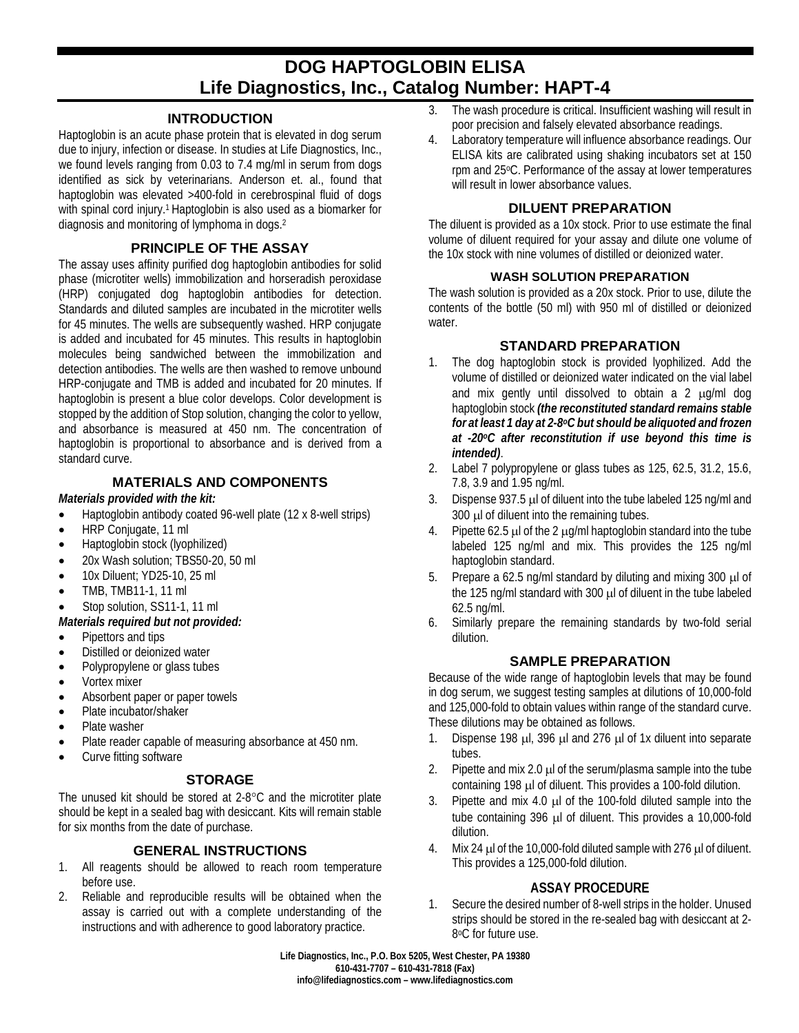# **DOG HAPTOGLOBIN ELISA Life Diagnostics, Inc., Catalog Number: HAPT-4**

## **INTRODUCTION**

Haptoglobin is an acute phase protein that is elevated in dog serum due to injury, infection or disease. In studies at Life Diagnostics, Inc., we found levels ranging from 0.03 to 7.4 mg/ml in serum from dogs identified as sick by veterinarians. Anderson et. al., found that haptoglobin was elevated >400-fold in cerebrospinal fluid of dogs with spinal cord injury.<sup>1</sup> Haptoglobin is also used as a biomarker for diagnosis and monitoring of lymphoma in dogs.2

## **PRINCIPLE OF THE ASSAY**

The assay uses affinity purified dog haptoglobin antibodies for solid phase (microtiter wells) immobilization and horseradish peroxidase (HRP) conjugated dog haptoglobin antibodies for detection. Standards and diluted samples are incubated in the microtiter wells for 45 minutes. The wells are subsequently washed. HRP conjugate is added and incubated for 45 minutes. This results in haptoglobin molecules being sandwiched between the immobilization and detection antibodies. The wells are then washed to remove unbound HRP-conjugate and TMB is added and incubated for 20 minutes. If haptoglobin is present a blue color develops. Color development is stopped by the addition of Stop solution, changing the color to yellow, and absorbance is measured at 450 nm. The concentration of haptoglobin is proportional to absorbance and is derived from a standard curve.

# **MATERIALS AND COMPONENTS**

#### *Materials provided with the kit:*

- Haptoglobin antibody coated 96-well plate (12 x 8-well strips)
- HRP Conjugate, 11 ml
- Haptoglobin stock (lyophilized)
- 20x Wash solution; TBS50-20, 50 ml
- 10x Diluent: YD25-10, 25 ml
- TMB, TMB11-1, 11 ml
- Stop solution, SS11-1, 11 ml
- *Materials required but not provided:*
- Pipettors and tips
- Distilled or deionized water
- Polypropylene or glass tubes
- Vortex mixer
- Absorbent paper or paper towels
- Plate incubator/shaker
- Plate washer
- Plate reader capable of measuring absorbance at 450 nm.
- Curve fitting software

## **STORAGE**

The unused kit should be stored at 2-8°C and the microtiter plate should be kept in a sealed bag with desiccant. Kits will remain stable for six months from the date of purchase.

## **GENERAL INSTRUCTIONS**

- 1. All reagents should be allowed to reach room temperature before use.
- 2. Reliable and reproducible results will be obtained when the assay is carried out with a complete understanding of the instructions and with adherence to good laboratory practice.
- 3. The wash procedure is critical. Insufficient washing will result in poor precision and falsely elevated absorbance readings.
- 4. Laboratory temperature will influence absorbance readings. Our ELISA kits are calibrated using shaking incubators set at 150 rpm and 25°C. Performance of the assay at lower temperatures will result in lower absorbance values.

# **DILUENT PREPARATION**

The diluent is provided as a 10x stock. Prior to use estimate the final volume of diluent required for your assay and dilute one volume of the 10x stock with nine volumes of distilled or deionized water.

#### **WASH SOLUTION PREPARATION**

The wash solution is provided as a 20x stock. Prior to use, dilute the contents of the bottle (50 ml) with 950 ml of distilled or deionized water.

# **STANDARD PREPARATION**

- 1. The dog haptoglobin stock is provided lyophilized. Add the volume of distilled or deionized water indicated on the vial label and mix gently until dissolved to obtain a 2  $\mu$ g/ml dog haptoglobin stock *(the reconstituted standard remains stable for at least 1 day at 2-8oC but should be aliquoted and frozen at -20oC after reconstitution if use beyond this time is intended)*.
- 2. Label 7 polypropylene or glass tubes as 125, 62.5, 31.2, 15.6, 7.8, 3.9 and 1.95 ng/ml.
- 3. Dispense 937.5 µl of diluent into the tube labeled 125 ng/ml and 300 µl of diluent into the remaining tubes.
- 4. Pipette 62.5  $\mu$  of the 2  $\mu$ g/ml haptoglobin standard into the tube labeled 125 ng/ml and mix. This provides the 125 ng/ml haptoglobin standard.
- 5. Prepare a 62.5 ng/ml standard by diluting and mixing 300 µl of the 125 ng/ml standard with 300 µl of diluent in the tube labeled 62.5 ng/ml.
- 6. Similarly prepare the remaining standards by two-fold serial dilution.

## **SAMPLE PREPARATION**

Because of the wide range of haptoglobin levels that may be found in dog serum, we suggest testing samples at dilutions of 10,000-fold and 125,000-fold to obtain values within range of the standard curve. These dilutions may be obtained as follows.

- 1. Dispense 198 µl, 396 µl and 276 µl of 1x diluent into separate tubes.
- 2. Pipette and mix 2.0  $\mu$  of the serum/plasma sample into the tube containing 198 µl of diluent. This provides a 100-fold dilution.
- 3. Pipette and mix 4.0 µl of the 100-fold diluted sample into the tube containing 396 µl of diluent. This provides a 10,000-fold dilution.
- 4. Mix 24 µl of the 10,000-fold diluted sample with 276 µl of diluent. This provides a 125,000-fold dilution.

# **ASSAY PROCEDURE**

1. Secure the desired number of 8-well strips in the holder. Unused strips should be stored in the re-sealed bag with desiccant at 2- 8°C for future use.

**Life Diagnostics, Inc., P.O. Box 5205, West Chester, PA 19380 610-431-7707 – 610-431-7818 (Fax) info@lifediagnostics.com – www.lifediagnostics.com**